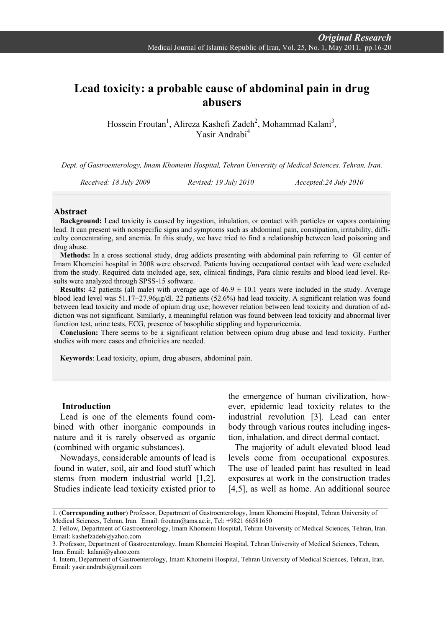# **Lead toxicity: a probable cause of abdominal pain in drug abusers**

Hossein Froutan<sup>1</sup>, Alireza Kashefi Zadeh<sup>2</sup>, Mohammad Kalani<sup>3</sup>, Yasir Andrabi4

*Dept. of Gastroenterology, Imam Khomeini Hospital, Tehran University of Medical Sciences. Tehran, Iran.*

*Received: 18 July 2009 Revised: 19 July 2010 Accepted:24 July 2010 \_\_\_\_\_\_\_\_\_\_\_\_\_\_\_\_\_\_\_\_\_\_\_\_\_\_\_\_\_\_\_\_\_\_\_\_\_\_\_\_\_\_\_\_\_\_\_\_\_\_\_\_\_\_\_\_\_\_\_\_\_\_\_\_\_\_\_\_\_\_\_\_\_\_\_\_\_\_\_\_\_\_\_\_\_\_\_\_\_\_*

### **Abstract**

**Background:** Lead toxicity is caused by ingestion, inhalation, or contact with particles or vapors containing lead. It can present with nonspecific signs and symptoms such as abdominal pain, constipation, irritability, difficulty concentrating, and anemia. In this study, we have tried to find a relationship between lead poisoning and drug abuse.

**Methods:** In a cross sectional study, drug addicts presenting with abdominal pain referring to GI center of Imam Khomeini hospital in 2008 were observed. Patients having occupational contact with lead were excluded from the study. Required data included age, sex, clinical findings, Para clinic results and blood lead level. Results were analyzed through SPSS-15 software.

**Results:** 42 patients (all male) with average age of  $46.9 \pm 10.1$  years were included in the study. Average blood lead level was 51.17±27.96µg/dl. 22 patients (52.6%) had lead toxicity. A significant relation was found between lead toxicity and mode of opium drug use; however relation between lead toxicity and duration of addiction was not significant. Similarly, a meaningful relation was found between lead toxicity and abnormal liver function test, urine tests, ECG, presence of basophilic stippling and hyperuricemia.

**Conclusion:** There seems to be a significant relation between opium drug abuse and lead toxicity. Further studies with more cases and ethnicities are needed.

**Keywords**: Lead toxicity, opium, drug abusers, abdominal pain.

### **Introduction**

Lead is one of the elements found combined with other inorganic compounds in nature and it is rarely observed as organic (combined with organic substances).

Nowadays, considerable amounts of lead is found in water, soil, air and food stuff which stems from modern industrial world [1,2]. Studies indicate lead toxicity existed prior to

the emergence of human civilization, however, epidemic lead toxicity relates to the industrial revolution [3]. Lead can enter body through various routes including ingestion, inhalation, and direct dermal contact.

The majority of adult elevated blood lead levels come from occupational exposures. The use of leaded paint has resulted in lead exposures at work in the construction trades [4,5], as well as home. An additional source

<sup>1. (</sup>**Corresponding author**) Professor, Department of Gastroenterology, Imam Khomeini Hospital, Tehran University of Medical Sciences, Tehran, Iran. Email: froutan@ams.ac.ir, Tel: +9821 66581650

<sup>2.</sup> Fellow, Department of Gastroenterology, Imam Khomeini Hospital, Tehran University of Medical Sciences, Tehran, Iran. Email: kashefzadeh@yahoo.com

<sup>3.</sup> Professor, Department of Gastroenterology, Imam Khomeini Hospital, Tehran University of Medical Sciences, Tehran, Iran. Email: kalani@yahoo.com

<sup>4.</sup> Intern, Department of Gastroenterology, Imam Khomeini Hospital, Tehran University of Medical Sciences, Tehran, Iran. Email: yasir.andrabi@gmail.com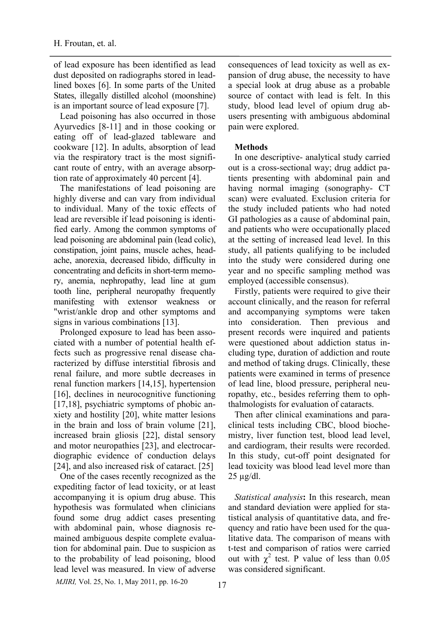of lead exposure has been identified as lead dust deposited on radiographs stored in leadlined boxes [6]. In some parts of the United States, illegally distilled alcohol (moonshine) is an important source of lead exposure [7].

Lead poisoning has also occurred in those Ayurvedics [8-11] and in those cooking or eating off of lead-glazed tableware and cookware [12]. In adults, absorption of lead via the respiratory tract is the most significant route of entry, with an average absorption rate of approximately 40 percent [4].

The manifestations of lead poisoning are highly diverse and can vary from individual to individual. Many of the toxic effects of lead are reversible if lead poisoning is identified early. Among the common symptoms of lead poisoning are abdominal pain (lead colic), constipation, joint pains, muscle aches, headache, anorexia, decreased libido, difficulty in concentrating and deficits in short-term memory, anemia, nephropathy, lead line at gum tooth line, peripheral neuropathy frequently manifesting with extensor weakness or "wrist/ankle drop and other symptoms and signs in various combinations [13].

Prolonged exposure to lead has been associated with a number of potential health effects such as progressive renal disease characterized by diffuse interstitial fibrosis and renal failure, and more subtle decreases in renal function markers [14,15], hypertension [16], declines in neurocognitive functioning [17,18], psychiatric symptoms of phobic anxiety and hostility [20], white matter lesions in the brain and loss of brain volume [21], increased brain gliosis [22], distal sensory and motor neuropathies [23], and electrocardiographic evidence of conduction delays [24], and also increased risk of cataract. [25]

One of the cases recently recognized as the expediting factor of lead toxicity, or at least accompanying it is opium drug abuse. This hypothesis was formulated when clinicians found some drug addict cases presenting with abdominal pain, whose diagnosis remained ambiguous despite complete evaluation for abdominal pain. Due to suspicion as to the probability of lead poisoning, blood lead level was measured. In view of adverse

consequences of lead toxicity as well as expansion of drug abuse, the necessity to have a special look at drug abuse as a probable source of contact with lead is felt. In this study, blood lead level of opium drug abusers presenting with ambiguous abdominal pain were explored.

### **Methods**

In one descriptive- analytical study carried out is a cross-sectional way; drug addict patients presenting with abdominal pain and having normal imaging (sonography- CT scan) were evaluated. Exclusion criteria for the study included patients who had noted GI pathologies as a cause of abdominal pain, and patients who were occupationally placed at the setting of increased lead level. In this study, all patients qualifying to be included into the study were considered during one year and no specific sampling method was employed (accessible consensus).

Firstly, patients were required to give their account clinically, and the reason for referral and accompanying symptoms were taken into consideration. Then previous and present records were inquired and patients were questioned about addiction status including type, duration of addiction and route and method of taking drugs. Clinically, these patients were examined in terms of presence of lead line, blood pressure, peripheral neuropathy, etc., besides referring them to ophthalmologists for evaluation of cataracts.

Then after clinical examinations and paraclinical tests including CBC, blood biochemistry, liver function test, blood lead level, and cardiogram, their results were recorded. In this study, cut-off point designated for lead toxicity was blood lead level more than 25 µg/dl.

*Statistical analysis***:** In this research, mean and standard deviation were applied for statistical analysis of quantitative data, and frequency and ratio have been used for the qualitative data. The comparison of means with t-test and comparison of ratios were carried out with  $\chi^2$  test. P value of less than 0.05 was considered significant.

*MJIRI*, Vol. 25, No. 1, May 2011, pp. 16-20 17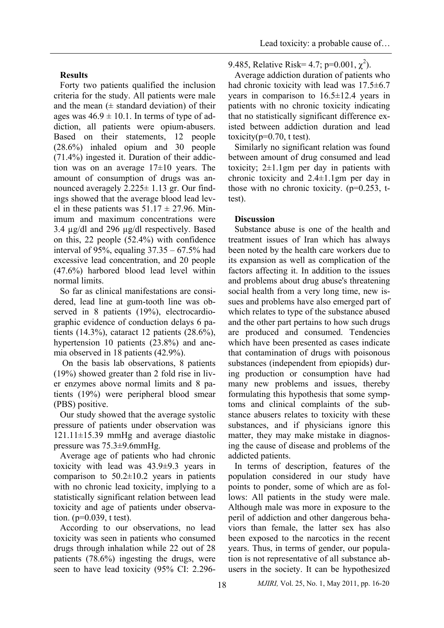# **Results**

Forty two patients qualified the inclusion criteria for the study. All patients were male and the mean  $(±$  standard deviation) of their ages was  $46.9 \pm 10.1$ . In terms of type of addiction, all patients were opium-abusers. Based on their statements, 12 people (28.6%) inhaled opium and 30 people (71.4%) ingested it. Duration of their addiction was on an average  $17\pm10$  years. The amount of consumption of drugs was announced averagely 2.225± 1.13 gr. Our findings showed that the average blood lead level in these patients was  $51.17 \pm 27.96$ . Minimum and maximum concentrations were 3.4 µg/dl and 296 µg/dl respectively. Based on this, 22 people (52.4%) with confidence interval of 95%, equaling  $37.35 - 67.5%$  had excessive lead concentration, and 20 people (47.6%) harbored blood lead level within normal limits.

So far as clinical manifestations are considered, lead line at gum-tooth line was observed in 8 patients (19%), electrocardiographic evidence of conduction delays 6 patients (14.3%), cataract 12 patients (28.6%), hypertension 10 patients (23.8%) and anemia observed in 18 patients (42.9%).

 On the basis lab observations, 8 patients (19%) showed greater than 2 fold rise in liver enzymes above normal limits and 8 patients (19%) were peripheral blood smear (PBS) positive.

Our study showed that the average systolic pressure of patients under observation was 121.11±15.39 mmHg and average diastolic pressure was 75.3±9.6mmHg.

Average age of patients who had chronic toxicity with lead was 43.9±9.3 years in comparison to  $50.2 \pm 10.2$  years in patients with no chronic lead toxicity, implying to a statistically significant relation between lead toxicity and age of patients under observation. ( $p=0.039$ , t test).

According to our observations, no lead toxicity was seen in patients who consumed drugs through inhalation while 22 out of 28 patients (78.6%) ingesting the drugs, were seen to have lead toxicity (95% CI: 2.2969.485, Relative Risk= 4.7; p=0.001,  $\chi^2$ ).

Average addiction duration of patients who had chronic toxicity with lead was 17.5 $\pm$ 6.7 years in comparison to  $16.5 \pm 12.4$  years in patients with no chronic toxicity indicating that no statistically significant difference existed between addiction duration and lead toxicity( $p=0.70$ , t test).

Similarly no significant relation was found between amount of drug consumed and lead toxicity; 2±1.1gm per day in patients with chronic toxicity and 2.4±1.1gm per day in those with no chronic toxicity. (p=0.253, ttest).

# **Discussion**

Substance abuse is one of the health and treatment issues of Iran which has always been noted by the health care workers due to its expansion as well as complication of the factors affecting it. In addition to the issues and problems about drug abuse's threatening social health from a very long time, new issues and problems have also emerged part of which relates to type of the substance abused and the other part pertains to how such drugs are produced and consumed. Tendencies which have been presented as cases indicate that contamination of drugs with poisonous substances (independent from epiopids) during production or consumption have had many new problems and issues, thereby formulating this hypothesis that some symptoms and clinical complaints of the substance abusers relates to toxicity with these substances, and if physicians ignore this matter, they may make mistake in diagnosing the cause of disease and problems of the addicted patients.

In terms of description, features of the population considered in our study have points to ponder, some of which are as follows: All patients in the study were male. Although male was more in exposure to the peril of addiction and other dangerous behaviors than female, the latter sex has also been exposed to the narcotics in the recent years. Thus, in terms of gender, our population is not representative of all substance abusers in the society. It can be hypothesized

18 *MJIRI,* Vol. 25, No. 1, May 2011, pp. 16-20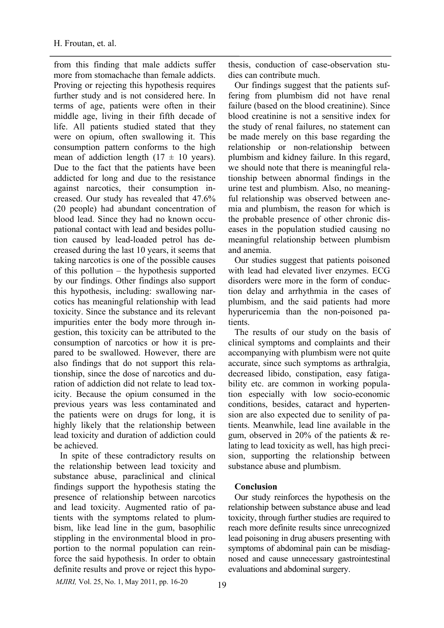from this finding that male addicts suffer more from stomachache than female addicts. Proving or rejecting this hypothesis requires further study and is not considered here. In terms of age, patients were often in their middle age, living in their fifth decade of life. All patients studied stated that they were on opium, often swallowing it. This consumption pattern conforms to the high mean of addiction length  $(17 \pm 10 \text{ years})$ . Due to the fact that the patients have been addicted for long and due to the resistance against narcotics, their consumption increased. Our study has revealed that 47.6% (20 people) had abundant concentration of blood lead. Since they had no known occupational contact with lead and besides pollution caused by lead-loaded petrol has decreased during the last 10 years, it seems that taking narcotics is one of the possible causes of this pollution – the hypothesis supported by our findings. Other findings also support this hypothesis, including: swallowing narcotics has meaningful relationship with lead toxicity. Since the substance and its relevant impurities enter the body more through ingestion, this toxicity can be attributed to the consumption of narcotics or how it is prepared to be swallowed. However, there are also findings that do not support this relationship, since the dose of narcotics and duration of addiction did not relate to lead toxicity. Because the opium consumed in the previous years was less contaminated and the patients were on drugs for long, it is highly likely that the relationship between lead toxicity and duration of addiction could be achieved.

In spite of these contradictory results on the relationship between lead toxicity and substance abuse, paraclinical and clinical findings support the hypothesis stating the presence of relationship between narcotics and lead toxicity. Augmented ratio of patients with the symptoms related to plumbism, like lead line in the gum, basophilic stippling in the environmental blood in proportion to the normal population can reinforce the said hypothesis. In order to obtain definite results and prove or reject this hypo-

thesis, conduction of case-observation studies can contribute much.

Our findings suggest that the patients suffering from plumbism did not have renal failure (based on the blood creatinine). Since blood creatinine is not a sensitive index for the study of renal failures, no statement can be made merely on this base regarding the relationship or non-relationship between plumbism and kidney failure. In this regard, we should note that there is meaningful relationship between abnormal findings in the urine test and plumbism. Also, no meaningful relationship was observed between anemia and plumbism, the reason for which is the probable presence of other chronic diseases in the population studied causing no meaningful relationship between plumbism and anemia.

Our studies suggest that patients poisoned with lead had elevated liver enzymes. ECG disorders were more in the form of conduction delay and arrhythmia in the cases of plumbism, and the said patients had more hyperuricemia than the non-poisoned patients.

The results of our study on the basis of clinical symptoms and complaints and their accompanying with plumbism were not quite accurate, since such symptoms as arthralgia, decreased libido, constipation, easy fatigability etc. are common in working population especially with low socio-economic conditions, besides, cataract and hypertension are also expected due to senility of patients. Meanwhile, lead line available in the gum, observed in 20% of the patients & relating to lead toxicity as well, has high precision, supporting the relationship between substance abuse and plumbism.

### **Conclusion**

Our study reinforces the hypothesis on the relationship between substance abuse and lead toxicity, through further studies are required to reach more definite results since unrecognized lead poisoning in drug abusers presenting with symptoms of abdominal pain can be misdiagnosed and cause unnecessary gastrointestinal evaluations and abdominal surgery.

*MJIRI*, Vol. 25, No. 1, May 2011, pp. 16-20 19